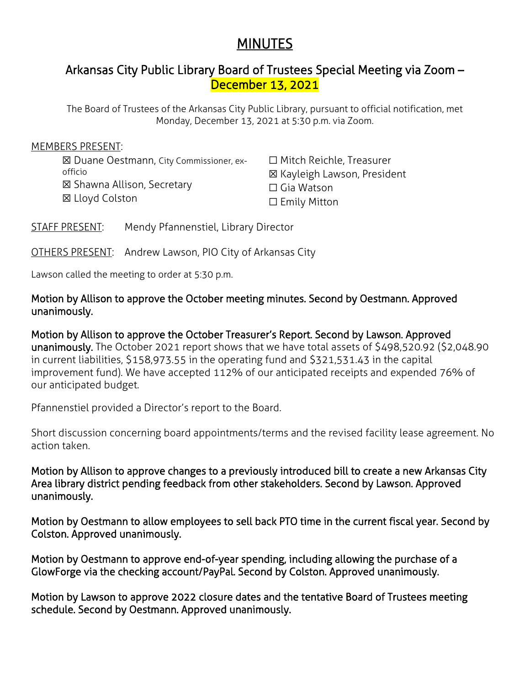# **MINUTES**

# Arkansas City Public Library Board of Trustees Special Meeting via Zoom – December 13, 2021

The Board of Trustees of the Arkansas City Public Library, pursuant to official notification, met Monday, December 13, 2021 at 5:30 p.m. via Zoom.

#### MEMBERS PRESENT:

☒ Duane Oestmann, City Commissioner, exofficio ☒ Shawna Allison, Secretary ☒ Lloyd Colston

☐ Mitch Reichle, Treasurer ☒ Kayleigh Lawson, President ☐ Gia Watson ☐ Emily Mitton

STAFF PRESENT: Mendy Pfannenstiel, Library Director

OTHERS PRESENT: Andrew Lawson, PIO City of Arkansas City

Lawson called the meeting to order at 5:30 p.m.

## Motion by Allison to approve the October meeting minutes. Second by Oestmann. Approved unanimously.

Motion by Allison to approve the October Treasurer's Report. Second by Lawson. Approved unanimously. The October 2021 report shows that we have total assets of \$498,520.92 (\$2,048.90 in current liabilities, \$158,973.55 in the operating fund and \$321,531.43 in the capital improvement fund). We have accepted 112% of our anticipated receipts and expended 76% of our anticipated budget.

Pfannenstiel provided a Director's report to the Board.

Short discussion concerning board appointments/terms and the revised facility lease agreement. No action taken.

Motion by Allison to approve changes to a previously introduced bill to create a new Arkansas City Area library district pending feedback from other stakeholders. Second by Lawson. Approved unanimously.

Motion by Oestmann to allow employees to sell back PTO time in the current fiscal year. Second by Colston. Approved unanimously.

Motion by Oestmann to approve end-of-year spending, including allowing the purchase of a GlowForge via the checking account/PayPal. Second by Colston. Approved unanimously.

Motion by Lawson to approve 2022 closure dates and the tentative Board of Trustees meeting schedule. Second by Oestmann. Approved unanimously.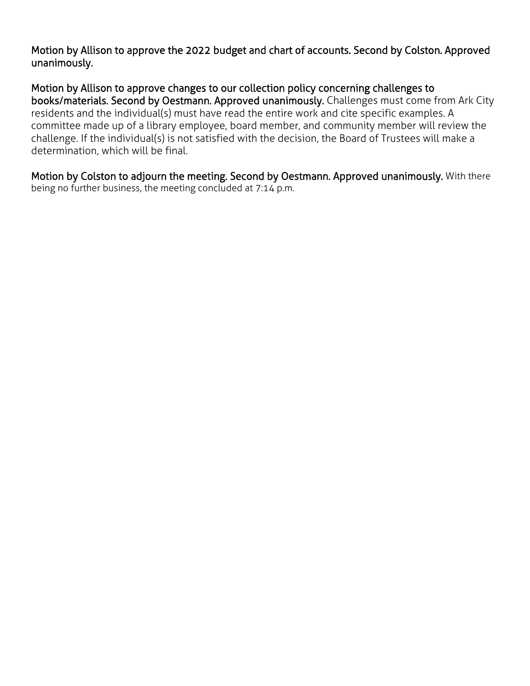Motion by Allison to approve the 2022 budget and chart of accounts. Second by Colston. Approved unanimously.

Motion by Allison to approve changes to our collection policy concerning challenges to books/materials. Second by Oestmann. Approved unanimously. Challenges must come from Ark City residents and the individual(s) must have read the entire work and cite specific examples. A committee made up of a library employee, board member, and community member will review the challenge. If the individual(s) is not satisfied with the decision, the Board of Trustees will make a determination, which will be final.

Motion by Colston to adjourn the meeting. Second by Oestmann. Approved unanimously. With there being no further business, the meeting concluded at 7:14 p.m.